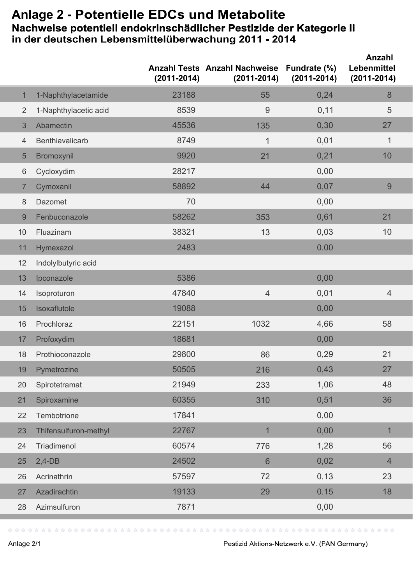## Anlage 2 - Potentielle EDCs und Metabolite<br>Nachweise potentiell endokrinschädlicher Pestizide der Kategorie II<br>in der deutschen Lebensmittelüberwachung 2011 - 2014

|                |                       | $(2011 - 2014)$ | <b>Anzahl Tests Anzahl Nachweise</b><br>$(2011 - 2014)$ | Fundrate (%)<br>$(2011 - 2014)$ | Anzahl<br>Lebenmittel<br>$(2011 - 2014)$ |
|----------------|-----------------------|-----------------|---------------------------------------------------------|---------------------------------|------------------------------------------|
| $\mathbf{1}$   | 1-Naphthylacetamide   | 23188           | 55                                                      | 0,24                            | 8                                        |
| $\overline{2}$ | 1-Naphthylacetic acid | 8539            | 9                                                       | 0,11                            | 5                                        |
| 3              | Abamectin             | 45536           | 135                                                     | 0,30                            | 27                                       |
| $\overline{4}$ | Benthiavalicarb       | 8749            | $\mathbf{1}$                                            | 0,01                            | $\mathbf{1}$                             |
| 5              | Bromoxynil            | 9920            | 21                                                      | 0,21                            | 10                                       |
| 6              | Cycloxydim            | 28217           |                                                         | 0,00                            |                                          |
| $\overline{7}$ | Cymoxanil             | 58892           | 44                                                      | 0,07                            | 9                                        |
| 8              | Dazomet               | 70              |                                                         | 0,00                            |                                          |
| 9              | Fenbuconazole         | 58262           | 353                                                     | 0,61                            | 21                                       |
| 10             | Fluazinam             | 38321           | 13                                                      | 0,03                            | 10                                       |
| 11             | Hymexazol             | 2483            |                                                         | 0,00                            |                                          |
| 12             | Indolylbutyric acid   |                 |                                                         |                                 |                                          |
| 13             | Ipconazole            | 5386            |                                                         | 0,00                            |                                          |
| 14             | Isoproturon           | 47840           | $\overline{4}$                                          | 0,01                            | $\overline{4}$                           |
| 15             | Isoxaflutole          | 19088           |                                                         | 0,00                            |                                          |
| 16             | Prochloraz            | 22151           | 1032                                                    | 4,66                            | 58                                       |
| 17             | Profoxydim            | 18681           |                                                         | 0,00                            |                                          |
| 18             | Prothioconazole       | 29800           | 86                                                      | 0,29                            | 21                                       |
| 19             | Pymetrozine           | 50505           | 216                                                     | 0,43                            | 27                                       |
| 20             | Spirotetramat         | 21949           | 233                                                     | 1,06                            | 48                                       |
| 21             | Spiroxamine           | 60355           | 310                                                     | 0,51                            | 36                                       |
| 22             | Tembotrione           | 17841           |                                                         | 0,00                            |                                          |
| 23             | Thifensulfuron-methyl | 22767           | $\mathbf 1$                                             | 0,00                            | $\mathbf{1}$                             |
| 24             | Triadimenol           | 60574           | 776                                                     | 1,28                            | 56                                       |
| 25             | $2,4-DB$              | 24502           | $6\phantom{1}$                                          | 0,02                            | $\overline{4}$                           |
| 26             | Acrinathrin           | 57597           | 72                                                      | 0, 13                           | 23                                       |
| 27             | Azadirachtin          | 19133           | 29                                                      | 0, 15                           | 18                                       |
| 28             | Azimsulfuron          | 7871            |                                                         | 0,00                            |                                          |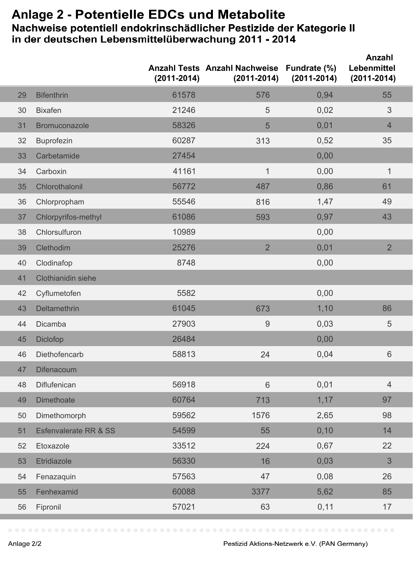## **Anlage 2 -** Nachweise potentiell endokrinschädlicher Pestizide der Kategorie II in der deutschen Lebensmittelüberwachung 2011 - 2014

|    |                                  | $(2011 - 2014)$ | Anzahl Tests Anzahl Nachweise Fundrate (%)<br>$(2011 - 2014)$ | $(2011 - 2014)$ | Anzahl<br>Lebenmittel<br>$(2011 - 2014)$ |
|----|----------------------------------|-----------------|---------------------------------------------------------------|-----------------|------------------------------------------|
| 29 | <b>Bifenthrin</b>                | 61578           | 576                                                           | 0,94            | 55                                       |
| 30 | <b>Bixafen</b>                   | 21246           | 5                                                             | 0,02            | 3                                        |
| 31 | <b>Bromuconazole</b>             | 58326           | 5                                                             | 0,01            | $\overline{4}$                           |
| 32 | <b>Buprofezin</b>                | 60287           | 313                                                           | 0,52            | 35                                       |
| 33 | Carbetamide                      | 27454           |                                                               | 0,00            |                                          |
| 34 | Carboxin                         | 41161           | $\mathbf{1}$                                                  | 0,00            | 1                                        |
| 35 | Chlorothalonil                   | 56772           | 487                                                           | 0,86            | 61                                       |
| 36 | Chlorpropham                     | 55546           | 816                                                           | 1,47            | 49                                       |
| 37 | Chlorpyrifos-methyl              | 61086           | 593                                                           | 0,97            | 43                                       |
| 38 | Chlorsulfuron                    | 10989           |                                                               | 0,00            |                                          |
| 39 | Clethodim                        | 25276           | $\overline{2}$                                                | 0,01            | $\overline{2}$                           |
| 40 | Clodinafop                       | 8748            |                                                               | 0,00            |                                          |
| 41 | <b>Clothianidin siehe</b>        |                 |                                                               |                 |                                          |
| 42 | Cyflumetofen                     | 5582            |                                                               | 0,00            |                                          |
| 43 | Deltamethrin                     | 61045           | 673                                                           | 1,10            | 86                                       |
| 44 | Dicamba                          | 27903           | 9                                                             | 0,03            | 5                                        |
| 45 | Diclofop                         | 26484           |                                                               | 0,00            |                                          |
| 46 | Diethofencarb                    | 58813           | 24                                                            | 0,04            | 6                                        |
| 47 | Difenacoum                       |                 |                                                               |                 |                                          |
| 48 | Diflufenican                     | 56918           | 6                                                             | 0,01            | $\overline{4}$                           |
| 49 | <b>Dimethoate</b>                | 60764           | 713                                                           | 1,17            | 97                                       |
| 50 | Dimethomorph                     | 59562           | 1576                                                          | 2,65            | 98                                       |
| 51 | <b>Esfenvalerate RR &amp; SS</b> | 54599           | 55                                                            | 0, 10           | 14                                       |
| 52 | Etoxazole                        | 33512           | 224                                                           | 0,67            | 22                                       |
| 53 | Etridiazole                      | 56330           | 16                                                            | 0,03            | 3                                        |
| 54 | Fenazaquin                       | 57563           | 47                                                            | 0,08            | 26                                       |
| 55 | Fenhexamid                       | 60088           | 3377                                                          | 5,62            | 85                                       |
| 56 | Fipronil                         | 57021           | 63                                                            | 0,11            | 17                                       |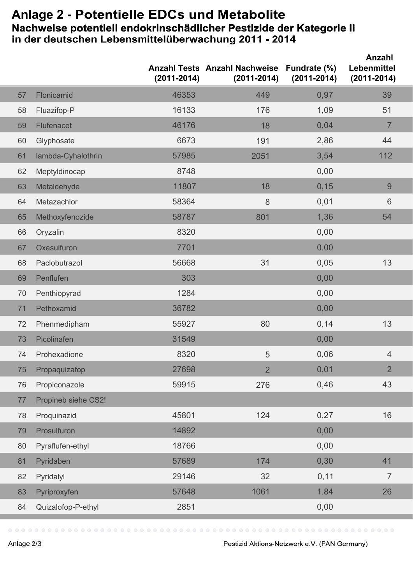## Anlage 2 - Potentielle EDCs und Metabolite<br>Nachweise potentiell endokrinschädlicher Pestizide der Kategorie II<br>in der deutschen Lebensmittelüberwachung 2011 - 2014

|    |                     | $(2011 - 2014)$ | <b>Anzahl Tests Anzahl Nachweise</b><br>$(2011 - 2014)$ | Fundrate (%)<br>$(2011 - 2014)$ | Anzahl<br>Lebenmittel<br>$(2011 - 2014)$ |
|----|---------------------|-----------------|---------------------------------------------------------|---------------------------------|------------------------------------------|
| 57 | Flonicamid          | 46353           | 449                                                     | 0,97                            | 39                                       |
| 58 | Fluazifop-P         | 16133           | 176                                                     | 1,09                            | 51                                       |
| 59 | Flufenacet          | 46176           | 18                                                      | 0,04                            | $\overline{7}$                           |
| 60 | Glyphosate          | 6673            | 191                                                     | 2,86                            | 44                                       |
| 61 | lambda-Cyhalothrin  | 57985           | 2051                                                    | 3,54                            | 112                                      |
| 62 | Meptyldinocap       | 8748            |                                                         | 0,00                            |                                          |
| 63 | Metaldehyde         | 11807           | 18                                                      | 0, 15                           | 9                                        |
| 64 | Metazachlor         | 58364           | 8                                                       | 0,01                            | $6\phantom{1}$                           |
| 65 | Methoxyfenozide     | 58787           | 801                                                     | 1,36                            | 54                                       |
| 66 | Oryzalin            | 8320            |                                                         | 0,00                            |                                          |
| 67 | Oxasulfuron         | 7701            |                                                         | 0,00                            |                                          |
| 68 | Paclobutrazol       | 56668           | 31                                                      | 0,05                            | 13                                       |
| 69 | Penflufen           | 303             |                                                         | 0,00                            |                                          |
| 70 | Penthiopyrad        | 1284            |                                                         | 0,00                            |                                          |
| 71 | Pethoxamid          | 36782           |                                                         | 0,00                            |                                          |
| 72 | Phenmedipham        | 55927           | 80                                                      | 0,14                            | 13                                       |
| 73 | Picolinafen         | 31549           |                                                         | 0,00                            |                                          |
| 74 | Prohexadione        | 8320            | 5                                                       | 0,06                            | $\overline{4}$                           |
| 75 | Propaquizafop       | 27698           | $\overline{2}$                                          | 0,01                            | $\overline{2}$                           |
| 76 | Propiconazole       | 59915           | 276                                                     | 0,46                            | 43                                       |
| 77 | Propineb siehe CS2! |                 |                                                         |                                 |                                          |
| 78 | Proquinazid         | 45801           | 124                                                     | 0,27                            | 16                                       |
| 79 | Prosulfuron         | 14892           |                                                         | 0,00                            |                                          |
| 80 | Pyraflufen-ethyl    | 18766           |                                                         | 0,00                            |                                          |
| 81 | Pyridaben           | 57689           | 174                                                     | 0,30                            | 41                                       |
| 82 | Pyridalyl           | 29146           | 32                                                      | 0,11                            | $\overline{7}$                           |
| 83 | Pyriproxyfen        | 57648           | 1061                                                    | 1,84                            | 26                                       |
| 84 | Quizalofop-P-ethyl  | 2851            |                                                         | 0,00                            |                                          |